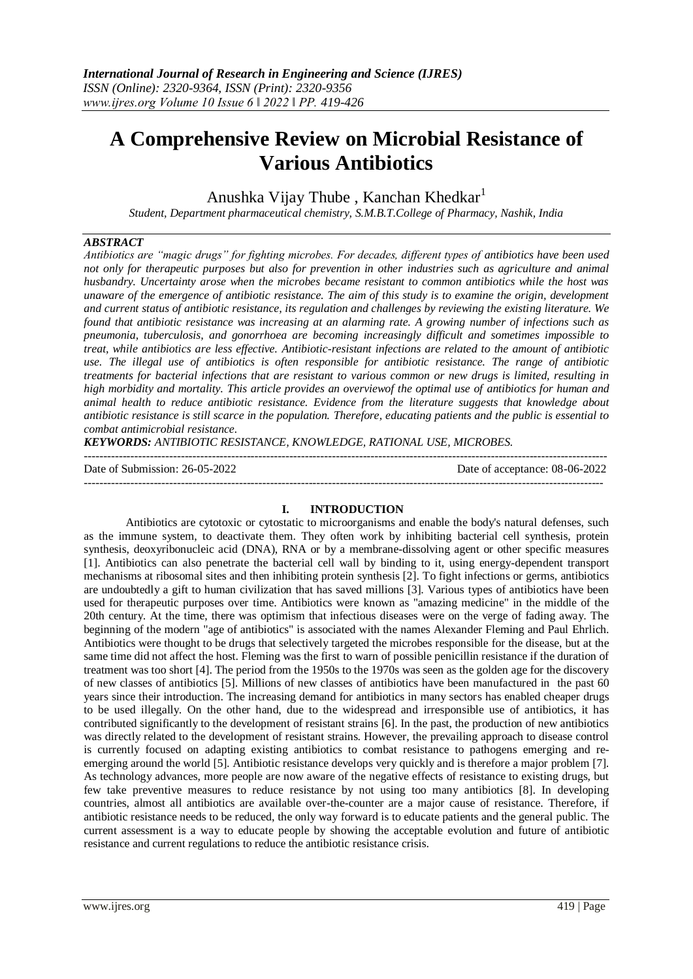# **A Comprehensive Review on Microbial Resistance of Various Antibiotics**

Anushka Vijay Thube, Kanchan Khedkar<sup>1</sup>

*Student, Department pharmaceutical chemistry, S.M.B.T.College of Pharmacy, Nashik, India*

# *ABSTRACT*

*Antibiotics are "magic drugs" for fighting microbes. For decades, different types of antibiotics have been used not only for therapeutic purposes but also for prevention in other industries such as agriculture and animal husbandry. Uncertainty arose when the microbes became resistant to common antibiotics while the host was unaware of the emergence of antibiotic resistance. The aim of this study is to examine the origin, development and current status of antibiotic resistance, its regulation and challenges by reviewing the existing literature. We found that antibiotic resistance was increasing at an alarming rate. A growing number of infections such as pneumonia, tuberculosis, and gonorrhoea are becoming increasingly difficult and sometimes impossible to treat, while antibiotics are less effective. Antibiotic-resistant infections are related to the amount of antibiotic use. The illegal use of antibiotics is often responsible for antibiotic resistance. The range of antibiotic treatments for bacterial infections that are resistant to various common or new drugs is limited, resulting in high morbidity and mortality. This article provides an overviewof the optimal use of antibiotics for human and animal health to reduce antibiotic resistance. Evidence from the literature suggests that knowledge about antibiotic resistance is still scarce in the population. Therefore, educating patients and the public is essential to combat antimicrobial resistance.*

*KEYWORDS: ANTIBIOTIC RESISTANCE, KNOWLEDGE, RATIONAL USE, MICROBES.*

---------------------------------------------------------------------------------------------------------------------------------------

--------------------------------------------------------------------------------------------------------------------------------------

Date of Submission: 26-05-2022 Date of acceptance: 08-06-2022

#### **I. INTRODUCTION**

Antibiotics are cytotoxic or cytostatic to microorganisms and enable the body's natural defenses, such as the immune system, to deactivate them. They often work by inhibiting bacterial cell synthesis, protein synthesis, deoxyribonucleic acid (DNA), RNA or by a membrane-dissolving agent or other specific measures [1]. Antibiotics can also penetrate the bacterial cell wall by binding to it, using energy-dependent transport mechanisms at ribosomal sites and then inhibiting protein synthesis [2]. To fight infections or germs, antibiotics are undoubtedly a gift to human civilization that has saved millions [3]. Various types of antibiotics have been used for therapeutic purposes over time. Antibiotics were known as "amazing medicine" in the middle of the 20th century. At the time, there was optimism that infectious diseases were on the verge of fading away. The beginning of the modern "age of antibiotics" is associated with the names Alexander Fleming and Paul Ehrlich. Antibiotics were thought to be drugs that selectively targeted the microbes responsible for the disease, but at the same time did not affect the host. Fleming was the first to warn of possible penicillin resistance if the duration of treatment was too short [4]. The period from the 1950s to the 1970s was seen as the golden age for the discovery of new classes of antibiotics [5]. Millions of new classes of antibiotics have been manufactured in the past 60 years since their introduction. The increasing demand for antibiotics in many sectors has enabled cheaper drugs to be used illegally. On the other hand, due to the widespread and irresponsible use of antibiotics, it has contributed significantly to the development of resistant strains [6]. In the past, the production of new antibiotics was directly related to the development of resistant strains. However, the prevailing approach to disease control is currently focused on adapting existing antibiotics to combat resistance to pathogens emerging and reemerging around the world [5]. Antibiotic resistance develops very quickly and is therefore a major problem [7]. As technology advances, more people are now aware of the negative effects of resistance to existing drugs, but few take preventive measures to reduce resistance by not using too many antibiotics [8]. In developing countries, almost all antibiotics are available over-the-counter are a major cause of resistance. Therefore, if antibiotic resistance needs to be reduced, the only way forward is to educate patients and the general public. The current assessment is a way to educate people by showing the acceptable evolution and future of antibiotic resistance and current regulations to reduce the antibiotic resistance crisis.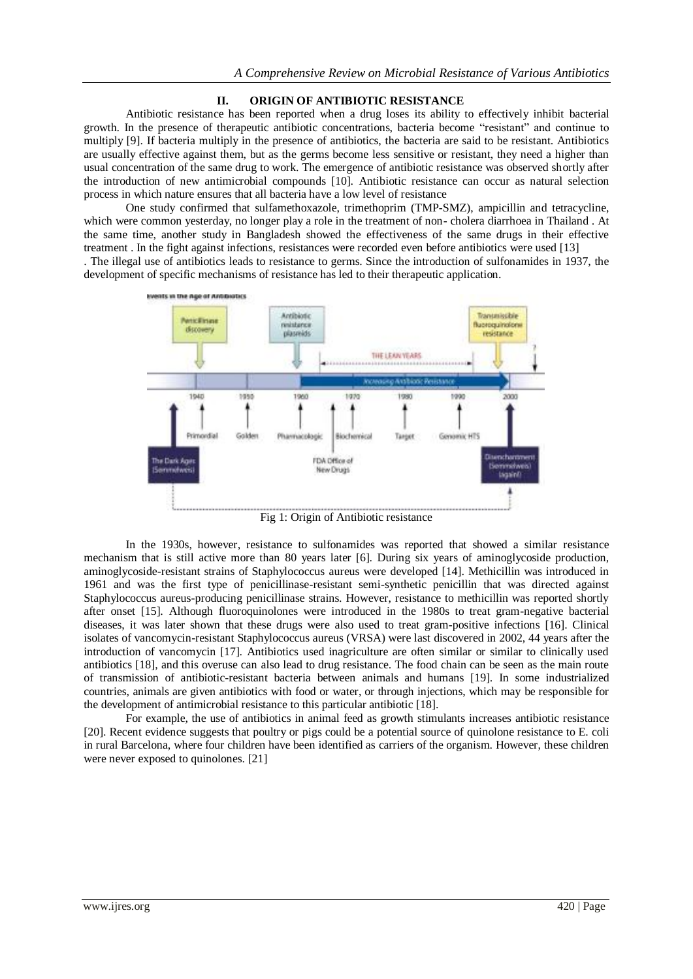#### **II. ORIGIN OF ANTIBIOTIC RESISTANCE**

Antibiotic resistance has been reported when a drug loses its ability to effectively inhibit bacterial growth. In the presence of therapeutic antibiotic concentrations, bacteria become "resistant" and continue to multiply [9]. If bacteria multiply in the presence of antibiotics, the bacteria are said to be resistant. Antibiotics are usually effective against them, but as the germs become less sensitive or resistant, they need a higher than usual concentration of the same drug to work. The emergence of antibiotic resistance was observed shortly after the introduction of new antimicrobial compounds [10]. Antibiotic resistance can occur as natural selection process in which nature ensures that all bacteria have a low level of resistance

One study confirmed that sulfamethoxazole, trimethoprim (TMP-SMZ), ampicillin and tetracycline, which were common yesterday, no longer play a role in the treatment of non- cholera diarrhoea in Thailand . At the same time, another study in Bangladesh showed the effectiveness of the same drugs in their effective treatment . In the fight against infections, resistances were recorded even before antibiotics were used [13] . The illegal use of antibiotics leads to resistance to germs. Since the introduction of sulfonamides in 1937, the

development of specific mechanisms of resistance has led to their therapeutic application.



Fig 1: Origin of Antibiotic resistance

In the 1930s, however, resistance to sulfonamides was reported that showed a similar resistance mechanism that is still active more than 80 years later [6]. During six years of aminoglycoside production, aminoglycoside-resistant strains of Staphylococcus aureus were developed [14]. Methicillin was introduced in 1961 and was the first type of penicillinase-resistant semi-synthetic penicillin that was directed against Staphylococcus aureus-producing penicillinase strains. However, resistance to methicillin was reported shortly after onset [15]. Although fluoroquinolones were introduced in the 1980s to treat gram-negative bacterial diseases, it was later shown that these drugs were also used to treat gram-positive infections [16]. Clinical isolates of vancomycin-resistant Staphylococcus aureus (VRSA) were last discovered in 2002, 44 years after the introduction of vancomycin [17]. Antibiotics used inagriculture are often similar or similar to clinically used antibiotics [18], and this overuse can also lead to drug resistance. The food chain can be seen as the main route of transmission of antibiotic-resistant bacteria between animals and humans [19]. In some industrialized countries, animals are given antibiotics with food or water, or through injections, which may be responsible for the development of antimicrobial resistance to this particular antibiotic [18].

For example, the use of antibiotics in animal feed as growth stimulants increases antibiotic resistance [20]. Recent evidence suggests that poultry or pigs could be a potential source of quinolone resistance to E. coli in rural Barcelona, where four children have been identified as carriers of the organism. However, these children were never exposed to quinolones. [21]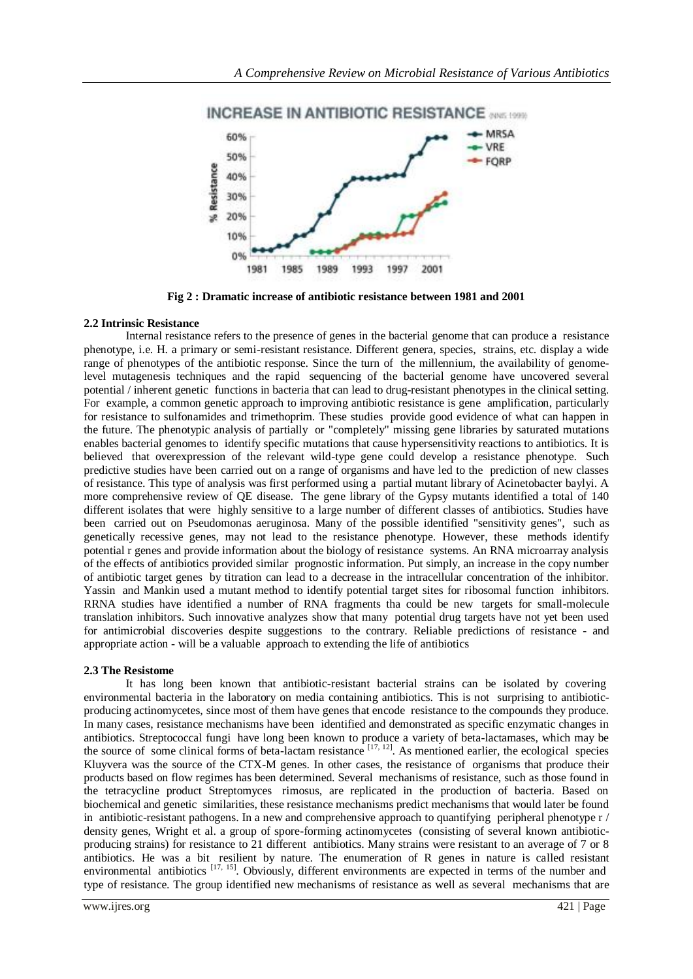

**Fig 2 : Dramatic increase of antibiotic resistance between 1981 and 2001**

## **2.2 Intrinsic Resistance**

Internal resistance refers to the presence of genes in the bacterial genome that can produce a resistance phenotype, i.e. H. a primary or semi-resistant resistance. Different genera, species, strains, etc. display a wide range of phenotypes of the antibiotic response. Since the turn of the millennium, the availability of genomelevel mutagenesis techniques and the rapid sequencing of the bacterial genome have uncovered several potential / inherent genetic functions in bacteria that can lead to drug-resistant phenotypes in the clinical setting. For example, a common genetic approach to improving antibiotic resistance is gene amplification, particularly for resistance to sulfonamides and trimethoprim. These studies provide good evidence of what can happen in the future. The phenotypic analysis of partially or "completely" missing gene libraries by saturated mutations enables bacterial genomes to identify specific mutations that cause hypersensitivity reactions to antibiotics. It is believed that overexpression of the relevant wild-type gene could develop a resistance phenotype. Such predictive studies have been carried out on a range of organisms and have led to the prediction of new classes of resistance. This type of analysis was first performed using a partial mutant library of Acinetobacter baylyi. A more comprehensive review of QE disease. The gene library of the Gypsy mutants identified a total of 140 different isolates that were highly sensitive to a large number of different classes of antibiotics. Studies have been carried out on Pseudomonas aeruginosa. Many of the possible identified "sensitivity genes", such as genetically recessive genes, may not lead to the resistance phenotype. However, these methods identify potential r genes and provide information about the biology of resistance systems. An RNA microarray analysis of the effects of antibiotics provided similar prognostic information. Put simply, an increase in the copy number of antibiotic target genes by titration can lead to a decrease in the intracellular concentration of the inhibitor. Yassin and Mankin used a mutant method to identify potential target sites for ribosomal function inhibitors. RRNA studies have identified a number of RNA fragments tha could be new targets for small-molecule translation inhibitors. Such innovative analyzes show that many potential drug targets have not yet been used for antimicrobial discoveries despite suggestions to the contrary. Reliable predictions of resistance - and appropriate action - will be a valuable approach to extending the life of antibiotics

## **2.3 The Resistome**

It has long been known that antibiotic-resistant bacterial strains can be isolated by covering environmental bacteria in the laboratory on media containing antibiotics. This is not surprising to antibioticproducing actinomycetes, since most of them have genes that encode resistance to the compounds they produce. In many cases, resistance mechanisms have been identified and demonstrated as specific enzymatic changes in antibiotics. Streptococcal fungi have long been known to produce a variety of beta-lactamases, which may be the source of some clinical forms of beta-lactam resistance  $[17, 12]$ . As mentioned earlier, the ecological species Kluyvera was the source of the CTX-M genes. In other cases, the resistance of organisms that produce their products based on flow regimes has been determined. Several mechanisms of resistance, such as those found in the tetracycline product Streptomyces rimosus, are replicated in the production of bacteria. Based on biochemical and genetic similarities, these resistance mechanisms predict mechanisms that would later be found in antibiotic-resistant pathogens. In a new and comprehensive approach to quantifying peripheral phenotype  $r /$ density genes, Wright et al. a group of spore-forming actinomycetes (consisting of several known antibioticproducing strains) for resistance to 21 different antibiotics. Many strains were resistant to an average of 7 or 8 antibiotics. He was a bit resilient by nature. The enumeration of R genes in nature is called resistant environmental antibiotics <sup>[17, 15]</sup>. Obviously, different environments are expected in terms of the number and type of resistance. The group identified new mechanisms of resistance as well as several mechanisms that are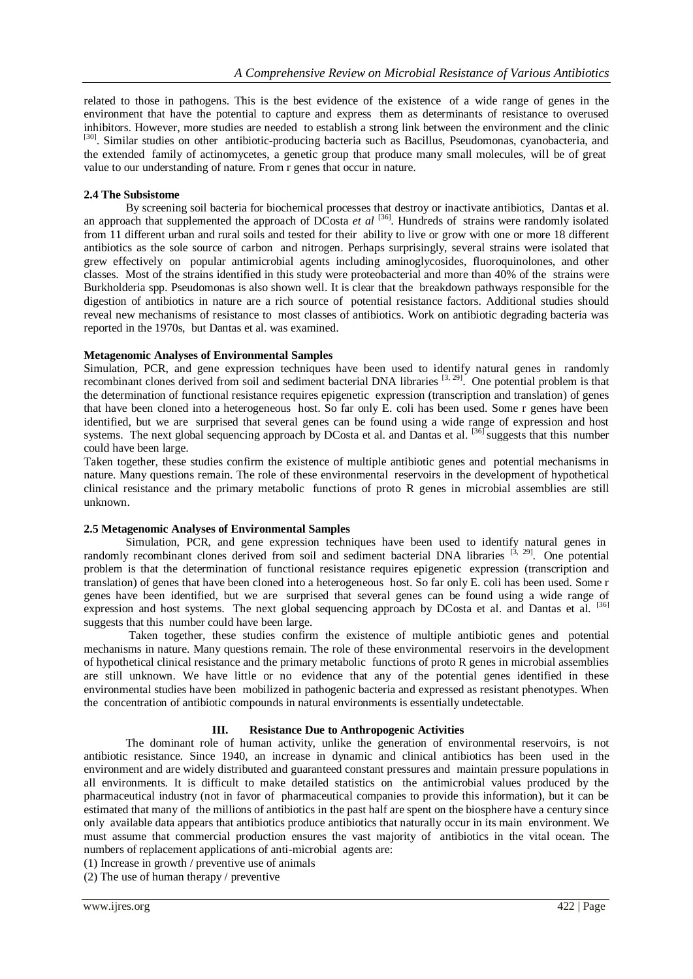related to those in pathogens. This is the best evidence of the existence of a wide range of genes in the environment that have the potential to capture and express them as determinants of resistance to overused inhibitors. However, more studies are needed to establish a strong link between the environment and the clinic <sup>[30]</sup>. Similar studies on other antibiotic-producing bacteria such as Bacillus, Pseudomonas, cyanobacteria, and the extended family of actinomycetes, a genetic group that produce many small molecules, will be of great value to our understanding of nature. From r genes that occur in nature.

## **2.4 The Subsistome**

By screening soil bacteria for biochemical processes that destroy or inactivate antibiotics, Dantas et al. an approach that supplemented the approach of DCosta *et al* <sup>[36]</sup>. Hundreds of strains were randomly isolated from 11 different urban and rural soils and tested for their ability to live or grow with one or more 18 different antibiotics as the sole source of carbon and nitrogen. Perhaps surprisingly, several strains were isolated that grew effectively on popular antimicrobial agents including aminoglycosides, fluoroquinolones, and other classes. Most of the strains identified in this study were proteobacterial and more than 40% of the strains were Burkholderia spp. Pseudomonas is also shown well. It is clear that the breakdown pathways responsible for the digestion of antibiotics in nature are a rich source of potential resistance factors. Additional studies should reveal new mechanisms of resistance to most classes of antibiotics. Work on antibiotic degrading bacteria was reported in the 1970s, but Dantas et al. was examined.

## **Metagenomic Analyses of Environmental Samples**

Simulation, PCR, and gene expression techniques have been used to identify natural genes in randomly recombinant clones derived from soil and sediment bacterial DNA libraries [3, 29]. One potential problem is that the determination of functional resistance requires epigenetic expression (transcription and translation) of genes that have been cloned into a heterogeneous host. So far only E. coli has been used. Some r genes have been identified, but we are surprised that several genes can be found using a wide range of expression and host systems. The next global sequencing approach by DCosta et al. and Dantas et al. <sup>[36]</sup> suggests that this number could have been large.

Taken together, these studies confirm the existence of multiple antibiotic genes and potential mechanisms in nature. Many questions remain. The role of these environmental reservoirs in the development of hypothetical clinical resistance and the primary metabolic functions of proto R genes in microbial assemblies are still unknown.

## **2.5 Metagenomic Analyses of Environmental Samples**

Simulation, PCR, and gene expression techniques have been used to identify natural genes in randomly recombinant clones derived from soil and sediment bacterial DNA libraries  $[3, 29]$ . One potential problem is that the determination of functional resistance requires epigenetic expression (transcription and translation) of genes that have been cloned into a heterogeneous host. So far only E. coli has been used. Some r genes have been identified, but we are surprised that several genes can be found using a wide range of expression and host systems. The next global sequencing approach by DCosta et al. and Dantas et al. [36] suggests that this number could have been large.

Taken together, these studies confirm the existence of multiple antibiotic genes and potential mechanisms in nature. Many questions remain. The role of these environmental reservoirs in the development of hypothetical clinical resistance and the primary metabolic functions of proto R genes in microbial assemblies are still unknown. We have little or no evidence that any of the potential genes identified in these environmental studies have been mobilized in pathogenic bacteria and expressed as resistant phenotypes. When the concentration of antibiotic compounds in natural environments is essentially undetectable.

## **III. Resistance Due to Anthropogenic Activities**

The dominant role of human activity, unlike the generation of environmental reservoirs, is not antibiotic resistance. Since 1940, an increase in dynamic and clinical antibiotics has been used in the environment and are widely distributed and guaranteed constant pressures and maintain pressure populations in all environments. It is difficult to make detailed statistics on the antimicrobial values produced by the pharmaceutical industry (not in favor of pharmaceutical companies to provide this information), but it can be estimated that many of the millions of antibiotics in the past half are spent on the biosphere have a century since only available data appears that antibiotics produce antibiotics that naturally occur in its main environment. We must assume that commercial production ensures the vast majority of antibiotics in the vital ocean. The numbers of replacement applications of anti-microbial agents are:

(1) Increase in growth / preventive use of animals

(2) The use of human therapy / preventive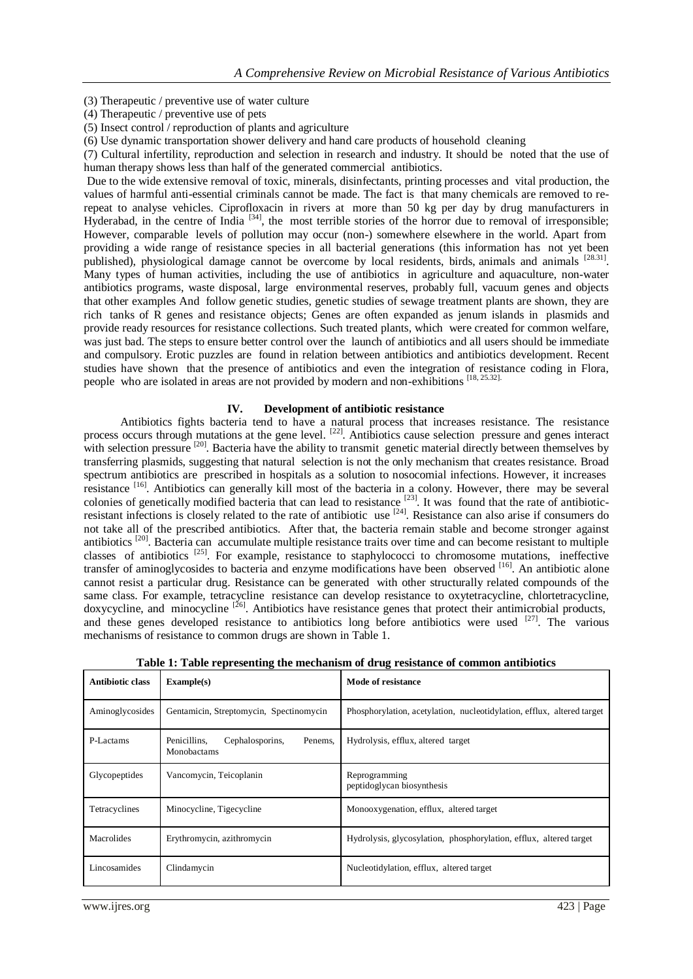- (3) Therapeutic / preventive use of water culture
- (4) Therapeutic / preventive use of pets
- (5) Insect control / reproduction of plants and agriculture
- (6) Use dynamic transportation shower delivery and hand care products of household cleaning

(7) Cultural infertility, reproduction and selection in research and industry. It should be noted that the use of human therapy shows less than half of the generated commercial antibiotics.

Due to the wide extensive removal of toxic, minerals, disinfectants, printing processes and vital production, the values of harmful anti-essential criminals cannot be made. The fact is that many chemicals are removed to rerepeat to analyse vehicles. Ciprofloxacin in rivers at more than 50 kg per day by drug manufacturers in Hyderabad, in the centre of India <sup>[34]</sup>, the most terrible stories of the horror due to removal of irresponsible; However, comparable levels of pollution may occur (non-) somewhere elsewhere in the world. Apart from providing a wide range of resistance species in all bacterial generations (this information has not yet been published), physiological damage cannot be overcome by local residents, birds, animals and animals [28.31]. Many types of human activities, including the use of antibiotics in agriculture and aquaculture, non-water antibiotics programs, waste disposal, large environmental reserves, probably full, vacuum genes and objects that other examples And follow genetic studies, genetic studies of sewage treatment plants are shown, they are rich tanks of R genes and resistance objects; Genes are often expanded as jenum islands in plasmids and provide ready resources for resistance collections. Such treated plants, which were created for common welfare, was just bad. The steps to ensure better control over the launch of antibiotics and all users should be immediate and compulsory. Erotic puzzles are found in relation between antibiotics and antibiotics development. Recent studies have shown that the presence of antibiotics and even the integration of resistance coding in Flora, people who are isolated in areas are not provided by modern and non-exhibitions [18, 25.32]

#### **IV. Development of antibiotic resistance**

Antibiotics fights bacteria tend to have a natural process that increases resistance. The resistance process occurs through mutations at the gene level. [22]. Antibiotics cause selection pressure and genes interact with selection pressure <sup>[20]</sup>. Bacteria have the ability to transmit genetic material directly between themselves by transferring plasmids, suggesting that natural selection is not the only mechanism that creates resistance. Broad spectrum antibiotics are prescribed in hospitals as a solution to nosocomial infections. However, it increases resistance [16]. Antibiotics can generally kill most of the bacteria in a colony. However, there may be several colonies of genetically modified bacteria that can lead to resistance  $[23]$ . It was found that the rate of antibioticresistant infections is closely related to the rate of antibiotic use [24]. Resistance can also arise if consumers do not take all of the prescribed antibiotics. After that, the bacteria remain stable and become stronger against antibiotics [20]. Bacteria can accumulate multiple resistance traits over time and can become resistant to multiple classes of antibiotics [25]. For example, resistance to staphylococci to chromosome mutations, ineffective transfer of aminoglycosides to bacteria and enzyme modifications have been observed [16]. An antibiotic alone cannot resist a particular drug. Resistance can be generated with other structurally related compounds of the same class. For example, tetracycline resistance can develop resistance to oxytetracycline, chlortetracycline,  $d$ oxycycline, and minocycline  $[26]$ . Antibiotics have resistance genes that protect their antimicrobial products, and these genes developed resistance to antibiotics long before antibiotics were used  $[27]$ . The various mechanisms of resistance to common drugs are shown in Table 1.

| Antibiotic class | Example(s)                                                | Mode of resistance                                                     |
|------------------|-----------------------------------------------------------|------------------------------------------------------------------------|
| Aminoglycosides  | Gentamicin, Streptomycin, Spectinomycin                   | Phosphorylation, acetylation, nucleotidylation, efflux, altered target |
| P-Lactams        | Penicillins,<br>Cephalosporins,<br>Penems,<br>Monobactams | Hydrolysis, efflux, altered target                                     |
| Glycopeptides    | Vancomycin, Teicoplanin                                   | Reprogramming<br>peptidoglycan biosynthesis                            |
| Tetracyclines    | Minocycline, Tigecycline                                  | Monooxygenation, efflux, altered target                                |
| Macrolides       | Erythromycin, azithromycin                                | Hydrolysis, glycosylation, phosphorylation, efflux, altered target     |
| Lincosamides     | Clindamycin                                               | Nucleotidylation, efflux, altered target                               |

**Table 1: Table representing the mechanism of drug resistance of common antibiotics**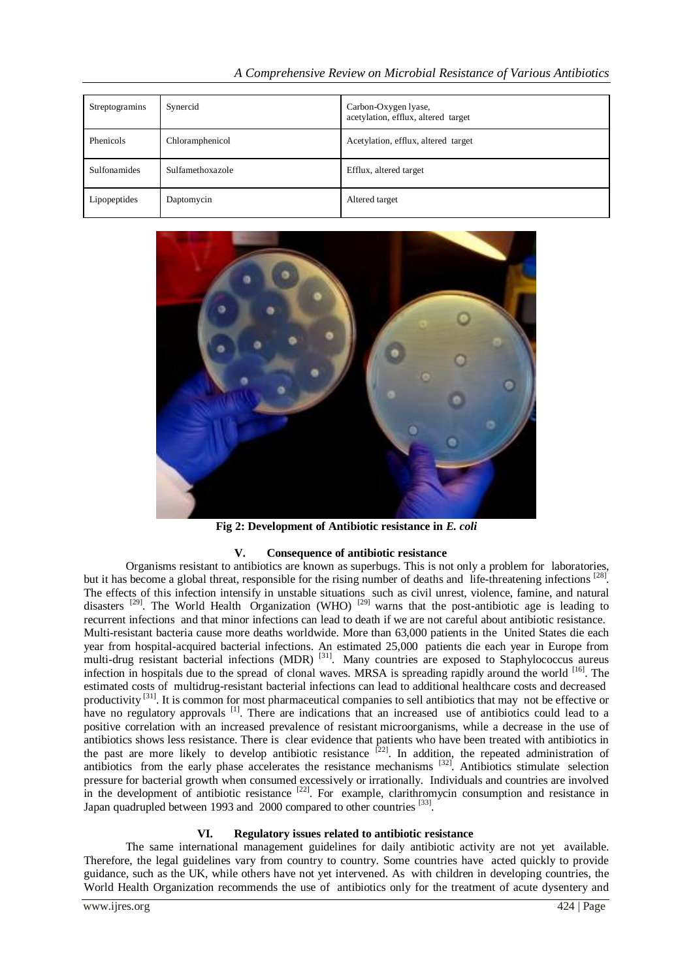| Streptogramins | Synercid         | Carbon-Oxygen lyase,<br>acetylation, efflux, altered target |
|----------------|------------------|-------------------------------------------------------------|
| Phenicols      | Chloramphenicol  | Acetylation, efflux, altered target                         |
| Sulfonamides   | Sulfamethoxazole | Efflux, altered target                                      |
| Lipopeptides   | Daptomycin       | Altered target                                              |



**Fig 2: Development of Antibiotic resistance in** *E. coli*

# **V. Consequence of antibiotic resistance**

Organisms resistant to antibiotics are known as superbugs. This is not only a problem for laboratories, but it has become a global threat, responsible for the rising number of deaths and life-threatening infections <sup>[28]</sup>. The effects of this infection intensify in unstable situations such as civil unrest, violence, famine, and natural disasters  $^{[29]}$ . The World Health Organization (WHO)  $^{[29]}$  warns that the post-antibiotic age is leading to recurrent infections and that minor infections can lead to death if we are not careful about antibiotic resistance. Multi-resistant bacteria cause more deaths worldwide. More than 63,000 patients in the United States die each year from hospital-acquired bacterial infections. An estimated 25,000 patients die each year in Europe from multi-drug resistant bacterial infections (MDR)<sup>[31]</sup>. Many countries are exposed to Staphylococcus aureus infection in hospitals due to the spread of clonal waves. MRSA is spreading rapidly around the world [16]. The estimated costs of multidrug-resistant bacterial infections can lead to additional healthcare costs and decreased productivity <sup>[31]</sup>. It is common for most pharmaceutical companies to sell antibiotics that may not be effective or have no regulatory approvals <sup>[1]</sup>. There are indications that an increased use of antibiotics could lead to a positive correlation with an increased prevalence of resistant microorganisms, while a decrease in the use of antibiotics shows less resistance. There is clear evidence that patients who have been treated with antibiotics in the past are more likely to develop antibiotic resistance  $[22]$ . In addition, the repeated administration of antibiotics from the early phase accelerates the resistance mechanisms <sup>[32]</sup>. Antibiotics stimulate selection pressure for bacterial growth when consumed excessively or irrationally. Individuals and countries are involved in the development of antibiotic resistance  $[22]$ . For example, clarithromycin consumption and resistance in Japan quadrupled between 1993 and 2000 compared to other countries [33].

## **VI. Regulatory issues related to antibiotic resistance**

The same international management guidelines for daily antibiotic activity are not yet available. Therefore, the legal guidelines vary from country to country. Some countries have acted quickly to provide guidance, such as the UK, while others have not yet intervened. As with children in developing countries, the World Health Organization recommends the use of antibiotics only for the treatment of acute dysentery and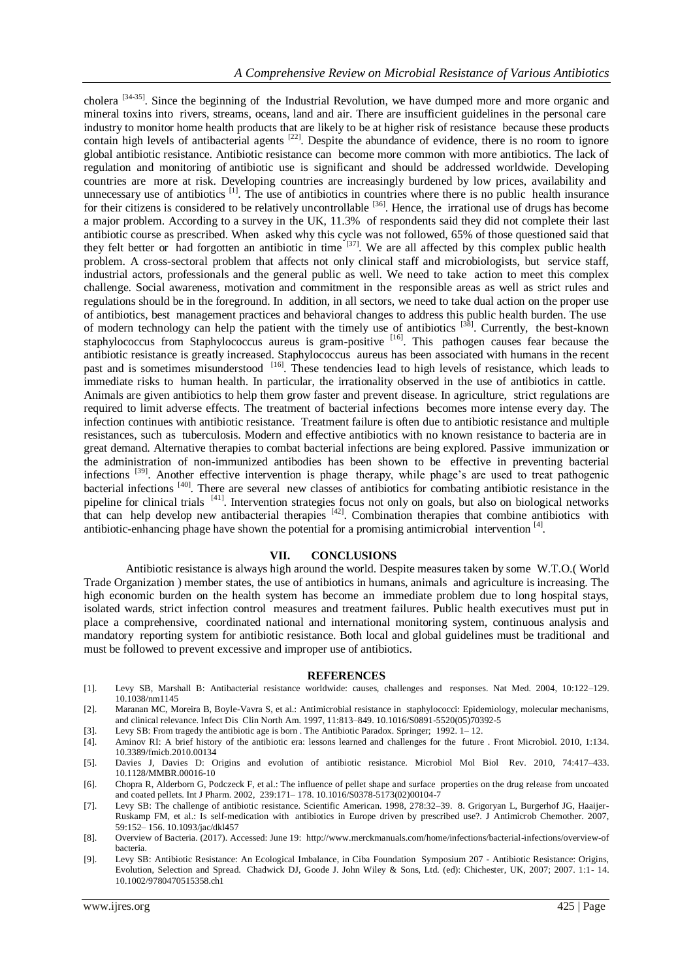cholera [34-35]. Since the beginning of the Industrial Revolution, we have dumped more and more organic and mineral toxins into rivers, streams, oceans, land and air. There are insufficient guidelines in the personal care industry to monitor home health products that are likely to be at higher risk of resistance because these products contain high levels of antibacterial agents <sup>[22]</sup>. Despite the abundance of evidence, there is no room to ignore global antibiotic resistance. Antibiotic resistance can become more common with more antibiotics. The lack of regulation and monitoring of antibiotic use is significant and should be addressed worldwide. Developing countries are more at risk. Developing countries are increasingly burdened by low prices, availability and unnecessary use of antibiotics  $\left[1\right]$ . The use of antibiotics in countries where there is no public health insurance for their citizens is considered to be relatively uncontrollable  $[36]$ . Hence, the irrational use of drugs has become a major problem. According to a survey in the UK, 11.3% of respondents said they did not complete their last antibiotic course as prescribed. When asked why this cycle was not followed, 65% of those questioned said that they felt better or had forgotten an antibiotic in time <sup>[37]</sup>. We are all affected by this complex public health problem. A cross-sectoral problem that affects not only clinical staff and microbiologists, but service staff, industrial actors, professionals and the general public as well. We need to take action to meet this complex challenge. Social awareness, motivation and commitment in the responsible areas as well as strict rules and regulations should be in the foreground. In addition, in all sectors, we need to take dual action on the proper use of antibiotics, best management practices and behavioral changes to address this public health burden. The use of modern technology can help the patient with the timely use of antibiotics <sup>[38]</sup>. Currently, the best-known staphylococcus from Staphylococcus aureus is gram-positive <sup>[16]</sup>. This pathogen causes fear because the antibiotic resistance is greatly increased. Staphylococcus aureus has been associated with humans in the recent past and is sometimes misunderstood <sup>[16]</sup>. These tendencies lead to high levels of resistance, which leads to immediate risks to human health. In particular, the irrationality observed in the use of antibiotics in cattle. Animals are given antibiotics to help them grow faster and prevent disease. In agriculture, strict regulations are required to limit adverse effects. The treatment of bacterial infections becomes more intense every day. The infection continues with antibiotic resistance. Treatment failure is often due to antibiotic resistance and multiple resistances, such as tuberculosis. Modern and effective antibiotics with no known resistance to bacteria are in great demand. Alternative therapies to combat bacterial infections are being explored. Passive immunization or the administration of non-immunized antibodies has been shown to be effective in preventing bacterial infections [39]. Another effective intervention is phage therapy, while phage's are used to treat pathogenic bacterial infections <sup>[40]</sup>. There are several new classes of antibiotics for combating antibiotic resistance in the pipeline for clinical trials <sup>[41]</sup>. Intervention strategies focus not only on goals, but also on biological networks that can help develop new antibacterial therapies  $[42]$ . Combination therapies that combine antibiotics with antibiotic-enhancing phage have shown the potential for a promising antimicrobial intervention<sup>[4]</sup>.

## **VII. CONCLUSIONS**

Antibiotic resistance is always high around the world. Despite measures taken by some W.T.O.( World Trade Organization ) member states, the use of antibiotics in humans, animals and agriculture is increasing. The high economic burden on the health system has become an immediate problem due to long hospital stays, isolated wards, strict infection control measures and treatment failures. Public health executives must put in place a comprehensive, coordinated national and international monitoring system, continuous analysis and mandatory reporting system for antibiotic resistance. Both local and global guidelines must be traditional and must be followed to prevent excessive and improper use of antibiotics.

#### **REFERENCES**

- [1]. Levy SB, Marshall B: Antibacterial resistance worldwide: causes, challenges and responses. Nat Med. 2004, 10:122–129. 10.1038/nm1145
- [2]. Maranan MC, Moreira B, Boyle-Vavra S, et al.: Antimicrobial resistance in staphylococci: Epidemiology, molecular mechanisms, and clinical relevance. Infect Dis Clin North Am. 1997, 11:813–849. 10.1016/S0891-5520(05)70392-5
- [3]. Levy SB: From tragedy the antibiotic age is born . The Antibiotic Paradox. Springer; 1992. 1– 12.
- [4]. Aminov RI: A brief history of the antibiotic era: lessons learned and challenges for the future . Front Microbiol. 2010, 1:134. 10.3389/fmicb.2010.00134
- [5]. Davies J, Davies D: Origins and evolution of antibiotic resistance. Microbiol Mol Biol Rev. 2010, 74:417–433. 10.1128/MMBR.00016-10
- [6]. Chopra R, Alderborn G, Podczeck F, et al.: The influence of pellet shape and surface properties on the drug release from uncoated and coated pellets. Int J Pharm. 2002, 239:171– 178. 10.1016/S0378-5173(02)00104-7
- [7]. Levy SB: The challenge of antibiotic resistance. Scientific American. 1998, 278:32–39. 8. Grigoryan L, Burgerhof JG, Haaijer-Ruskamp FM, et al.: Is self-medication with antibiotics in Europe driven by prescribed use?. J Antimicrob Chemother. 2007, 59:152– 156. 10.1093/jac/dkl457
- [8]. Overview of Bacteria. (2017). Accessed: June 19: http://www.merckmanuals.com/home/infections/bacterial-infections/overview-of bacteria.
- [9]. Levy SB: Antibiotic Resistance: An Ecological Imbalance, in Ciba Foundation Symposium 207 Antibiotic Resistance: Origins, Evolution, Selection and Spread. Chadwick DJ, Goode J. John Wiley & Sons, Ltd. (ed): Chichester, UK, 2007; 2007. 1:1- 14. 10.1002/9780470515358.ch1